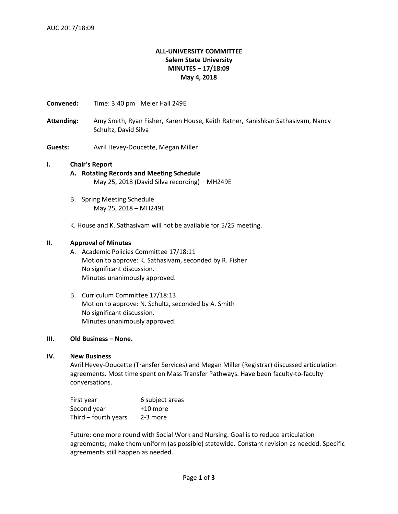# **ALL-UNIVERSITY COMMITTEE Salem State University MINUTES – 17/18:09 May 4, 2018**

**Convened:** Time: 3:40 pm Meier Hall 249E

- **Attending:** Amy Smith, Ryan Fisher, Karen House, Keith Ratner, Kanishkan Sathasivam, Nancy Schultz, David Silva
- **Guests:** Avril Hevey-Doucette, Megan Miller

### **I. Chair's Report**

- **A. Rotating Records and Meeting Schedule** May 25, 2018 (David Silva recording) – MH249E
- B. Spring Meeting Schedule May 25, 2018 – MH249E

K. House and K. Sathasivam will not be available for 5/25 meeting.

## **II. Approval of Minutes**

- A. Academic Policies Committee 17/18:11 Motion to approve: K. Sathasivam, seconded by R. Fisher No significant discussion. Minutes unanimously approved.
- B. Curriculum Committee 17/18:13 Motion to approve: N. Schultz, seconded by A. Smith No significant discussion. Minutes unanimously approved.

## **III. Old Business – None.**

### **IV. New Business**

Avril Hevey-Doucette (Transfer Services) and Megan Miller (Registrar) discussed articulation agreements. Most time spent on Mass Transfer Pathways. Have been faculty-to-faculty conversations.

| First year           | 6 subject areas |
|----------------------|-----------------|
| Second year          | +10 more        |
| Third - fourth years | 2-3 more        |

Future: one more round with Social Work and Nursing. Goal is to reduce articulation agreements; make them uniform (as possible) statewide. Constant revision as needed. Specific agreements still happen as needed.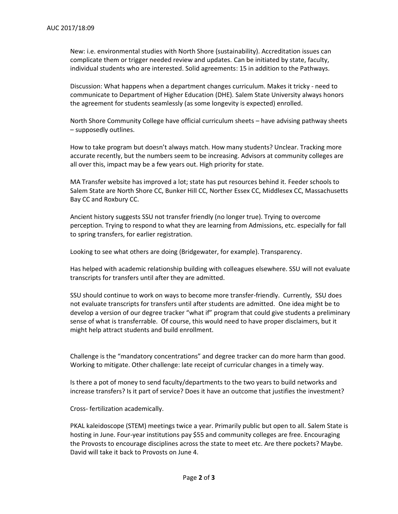New: i.e. environmental studies with North Shore (sustainability). Accreditation issues can complicate them or trigger needed review and updates. Can be initiated by state, faculty, individual students who are interested. Solid agreements: 15 in addition to the Pathways.

Discussion: What happens when a department changes curriculum. Makes it tricky - need to communicate to Department of Higher Education (DHE). Salem State University always honors the agreement for students seamlessly (as some longevity is expected) enrolled.

North Shore Community College have official curriculum sheets – have advising pathway sheets – supposedly outlines.

How to take program but doesn't always match. How many students? Unclear. Tracking more accurate recently, but the numbers seem to be increasing. Advisors at community colleges are all over this, impact may be a few years out. High priority for state.

MA Transfer website has improved a lot; state has put resources behind it. Feeder schools to Salem State are North Shore CC, Bunker Hill CC, Norther Essex CC, Middlesex CC, Massachusetts Bay CC and Roxbury CC.

Ancient history suggests SSU not transfer friendly (no longer true). Trying to overcome perception. Trying to respond to what they are learning from Admissions, etc. especially for fall to spring transfers, for earlier registration.

Looking to see what others are doing (Bridgewater, for example). Transparency.

Has helped with academic relationship building with colleagues elsewhere. SSU will not evaluate transcripts for transfers until after they are admitted.

SSU should continue to work on ways to become more transfer-friendly. Currently, SSU does not evaluate transcripts for transfers until after students are admitted. One idea might be to develop a version of our degree tracker "what if" program that could give students a preliminary sense of what is transferrable. Of course, this would need to have proper disclaimers, but it might help attract students and build enrollment.

Challenge is the "mandatory concentrations" and degree tracker can do more harm than good. Working to mitigate. Other challenge: late receipt of curricular changes in a timely way.

Is there a pot of money to send faculty/departments to the two years to build networks and increase transfers? Is it part of service? Does it have an outcome that justifies the investment?

Cross- fertilization academically.

PKAL kaleidoscope (STEM) meetings twice a year. Primarily public but open to all. Salem State is hosting in June. Four-year institutions pay \$55 and community colleges are free. Encouraging the Provosts to encourage disciplines across the state to meet etc. Are there pockets? Maybe. David will take it back to Provosts on June 4.